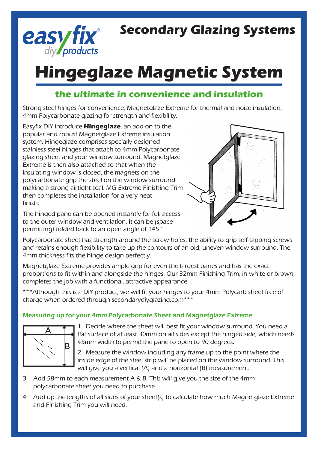

## **Secondary Glazing Systems**

# **Hingeglaze Magnetic System**

### **the ultimate in convenience and insulation**

Strong steel hinges for convenience, Magnetglaze Extreme for thermal and noise insulation, 4mm Polycarbonate glazing for strength and flexibility.

Easyfix DIY introduce **Hingeglaze**, an add-on to the popular and robust Magnetglaze Extreme insulation system. Hingeglaze comprises specially designed stainless-steel hinges that attach to 4mm Polycarbonate glazing sheet and your window surround. Magnetglaze Extreme is then also attached so that when the insulating window is closed, the magnets on the polycarbonate grip the steel on the window surround making a strong airtight seal. MG Extreme Finishing Trim then completes the installation for a very neat finish.

The hinged pane can be opened instantly for full access to the outer window and ventilation. It can be (space permitting) folded back to an open angle of 145 °



Polycarbonate sheet has strength around the screw holes, the ability to grip self-tapping screws and retains enough flexibility to take up the contours of an old, uneven window surround. The 4mm thickness fits the hinge design perfectly.

Magnetglaze Extreme provides ample grip for even the largest panes and has the exact proportions to fit within and alongside the hinges. Our 32mm Finishing Trim, in white or brown, completes the job with a functional, attractive appearance.

\*\*\*Although this is a DIY product, we will fit your hinges to your 4mm Polycarb sheet free of charge when ordered through secondarydiyglazing.com\*\*\*

#### Measuring up for your 4mm Polycarbonate Sheet and Magnetglaze Extreme



1. Decide where the sheet will best fit your window surround. You need a flat surface of at least 30mm on all sides except the hinged side, which needs 45mm width to permit the pane to open to 90 degrees.

2. Measure the window including any frame up to the point where the inside edge of the steel strip will be placed on the window surround. This will give you a vertical (A) and a horizontal (B) measurement.

- 3. Add 58mm to each measurement A & B. This will give you the size of the 4mm polycarbonate sheet you need to purchase.
- 4. Add up the lengths of all sides of your sheet(s) to calculate how much Magnetglaze Extreme and Finishing Trim you will need.